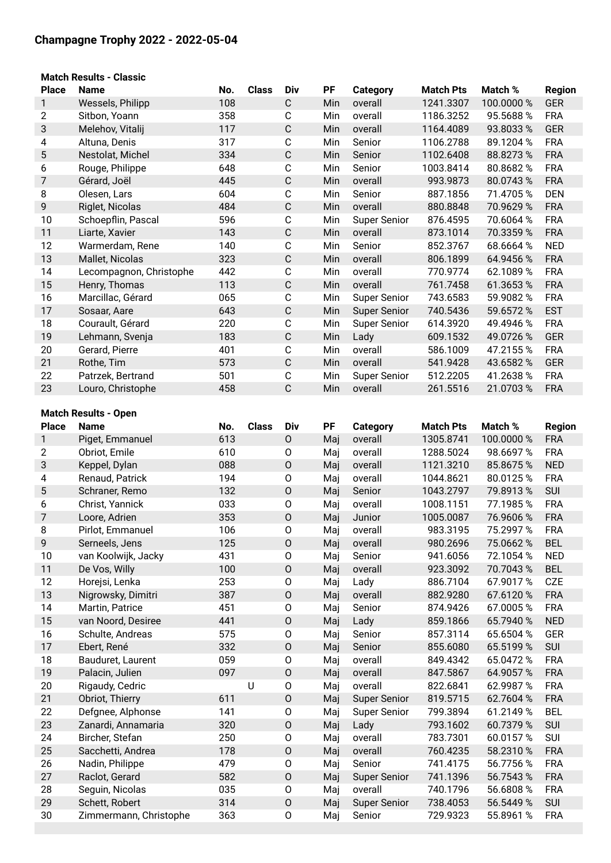# **Champagne Trophy 2022 - 2022-05-04**

# **Match Results - Classic**

| <b>Place</b>   | <b>Name</b>                 | No. | <b>Class</b> | Div                 | PF  | <b>Category</b>     | <b>Match Pts</b> | Match %    | <b>Region</b> |
|----------------|-----------------------------|-----|--------------|---------------------|-----|---------------------|------------------|------------|---------------|
| 1              | Wessels, Philipp            | 108 |              | $\mathsf C$         | Min | overall             | 1241.3307        | 100.0000 % | <b>GER</b>    |
| $\overline{2}$ | Sitbon, Yoann               | 358 |              | $\mathbf C$         | Min | overall             | 1186.3252        | 95.5688 %  | <b>FRA</b>    |
| 3              | Melehov, Vitalij            | 117 |              | $\mathbf C$         | Min | overall             | 1164.4089        | 93.8033 %  | <b>GER</b>    |
| 4              | Altuna, Denis               | 317 |              | $\mathbf C$         | Min | Senior              | 1106.2788        | 89.1204 %  | <b>FRA</b>    |
| 5              | Nestolat, Michel            | 334 |              | $\mathbf C$         | Min | Senior              | 1102.6408        | 88.8273%   | <b>FRA</b>    |
| 6              | Rouge, Philippe             | 648 |              | $\mathsf C$         | Min | Senior              | 1003.8414        | 80.8682 %  | <b>FRA</b>    |
| $\overline{7}$ | Gérard, Joël                | 445 |              | $\mathbf C$         | Min | overall             | 993.9873         | 80.0743%   | <b>FRA</b>    |
| 8              | Olesen, Lars                | 604 |              | $\mathbf C$         | Min | Senior              | 887.1856         | 71.4705%   | <b>DEN</b>    |
| 9              | Riglet, Nicolas             | 484 |              | $\mathsf C$         | Min | overall             | 880.8848         | 70.9629 %  | <b>FRA</b>    |
| 10             | Schoepflin, Pascal          | 596 |              | $\mathsf C$         | Min | <b>Super Senior</b> | 876.4595         | 70.6064 %  | <b>FRA</b>    |
| 11             | Liarte, Xavier              | 143 |              | $\mathsf C$         | Min | overall             | 873.1014         | 70.3359 %  | <b>FRA</b>    |
| 12             | Warmerdam, Rene             | 140 |              | $\mathbf C$         | Min | Senior              | 852.3767         | 68.6664 %  | <b>NED</b>    |
| 13             |                             | 323 |              | $\mathbf C$         |     | overall             |                  | 64.9456 %  | <b>FRA</b>    |
|                | Mallet, Nicolas             |     |              |                     | Min |                     | 806.1899         |            |               |
| 14             | Lecompagnon, Christophe     | 442 |              | $\mathsf C$         | Min | overall             | 770.9774         | 62.1089 %  | <b>FRA</b>    |
| 15             | Henry, Thomas               | 113 |              | $\mathsf C$         | Min | overall             | 761.7458         | 61.3653 %  | <b>FRA</b>    |
| 16             | Marcillac, Gérard           | 065 |              | $\mathbf C$         | Min | Super Senior        | 743.6583         | 59.9082 %  | <b>FRA</b>    |
| 17             | Sosaar, Aare                | 643 |              | $\mathbf C$         | Min | <b>Super Senior</b> | 740.5436         | 59.6572 %  | <b>EST</b>    |
| 18             | Courault, Gérard            | 220 |              | $\mathbf C$         | Min | <b>Super Senior</b> | 614.3920         | 49.4946 %  | <b>FRA</b>    |
| 19             | Lehmann, Svenja             | 183 |              | $\mathsf C$         | Min | Lady                | 609.1532         | 49.0726 %  | <b>GER</b>    |
| 20             | Gerard, Pierre              | 401 |              | $\mathbf C$         | Min | overall             | 586.1009         | 47.2155 %  | <b>FRA</b>    |
| 21             | Rothe, Tim                  | 573 |              | $\mathsf C$         | Min | overall             | 541.9428         | 43.6582 %  | <b>GER</b>    |
| 22             | Patrzek, Bertrand           | 501 |              | $\mathbf C$         | Min | <b>Super Senior</b> | 512.2205         | 41.2638 %  | <b>FRA</b>    |
| 23             | Louro, Christophe           | 458 |              | $\mathsf C$         | Min | overall             | 261.5516         | 21.0703%   | <b>FRA</b>    |
|                |                             |     |              |                     |     |                     |                  |            |               |
|                | <b>Match Results - Open</b> |     |              |                     |     |                     |                  |            |               |
| <b>Place</b>   | <b>Name</b>                 | No. | <b>Class</b> | <b>Div</b>          | PF  | Category            | <b>Match Pts</b> | Match %    | <b>Region</b> |
| 1              | Piget, Emmanuel             | 613 |              | $\mathsf O$         | Maj | overall             | 1305.8741        | 100.0000 % | <b>FRA</b>    |
| $\mathbf{2}$   | Obriot, Emile               | 610 |              | $\mathsf O$         | Maj | overall             | 1288.5024        | 98.6697 %  | <b>FRA</b>    |
| 3              | Keppel, Dylan               | 088 |              | $\mathsf O$         | Maj | overall             | 1121.3210        | 85.8675%   | <b>NED</b>    |
| 4              | Renaud, Patrick             | 194 |              | $\mathsf{O}\xspace$ | Maj | overall             | 1044.8621        | 80.0125%   | <b>FRA</b>    |
| 5              | Schraner, Remo              | 132 |              | $\mathsf O$         | Maj | Senior              | 1043.2797        | 79.8913%   | SUI           |
| 6              | Christ, Yannick             | 033 |              | $\mathsf O$         | Maj | overall             | 1008.1151        | 77.1985%   | <b>FRA</b>    |
| $\overline{7}$ | Loore, Adrien               | 353 |              | $\mathsf O$         | Maj | Junior              | 1005.0087        | 76.9606 %  | <b>FRA</b>    |
| 8              | Pirlot, Emmanuel            | 106 |              | $\mathsf O$         | Maj | overall             | 983.3195         | 75.2997 %  | <b>FRA</b>    |
| 9              | Serneels, Jens              | 125 |              | $\mathsf O$         | Maj | overall             | 980.2696         | 75.0662 %  | <b>BEL</b>    |
| 10             | van Koolwijk, Jacky         | 431 |              | 0                   |     | Senior              | 941.6056         | 72.1054 %  | <b>NED</b>    |
| 11             |                             | 100 |              |                     | Maj |                     | 923.3092         |            |               |
|                | De Vos, Willy               |     |              | $\mathsf{O}\xspace$ | Maj | overall             |                  | 70.7043 %  | <b>BEL</b>    |
| 12             | Horejsi, Lenka              | 253 |              | $\mathsf{O}\xspace$ | Maj | Lady                | 886.7104         | 67.9017%   | CZE           |
| 13             | Nigrowsky, Dimitri          | 387 |              | $\mathsf O$         | Maj | overall             | 882.9280         | 67.6120 %  | <b>FRA</b>    |
| 14             | Martin, Patrice             | 451 |              | $\mathsf O$         | Maj | Senior              | 874.9426         | 67.0005%   | <b>FRA</b>    |
| 15             | van Noord, Desiree          | 441 |              | $\mathsf O$         | Maj | Lady                | 859.1866         | 65.7940 %  | <b>NED</b>    |
| 16             | Schulte, Andreas            | 575 |              | $\mathsf{O}\xspace$ | Maj | Senior              | 857.3114         | 65.6504 %  | <b>GER</b>    |
| 17             | Ebert, René                 | 332 |              | $\mathsf O$         | Maj | Senior              | 855.6080         | 65.5199 %  | SUI           |
| 18             | Bauduret, Laurent           | 059 |              | $\mathsf{O}\xspace$ | Maj | overall             | 849.4342         | 65.0472 %  | <b>FRA</b>    |
| 19             | Palacin, Julien             | 097 |              | $\mathsf O$         | Maj | overall             | 847.5867         | 64.9057 %  | <b>FRA</b>    |
| 20             | Rigaudy, Cedric             |     | $\sf U$      | $\mathsf O$         | Maj | overall             | 822.6841         | 62.9987 %  | <b>FRA</b>    |
| 21             | Obriot, Thierry             | 611 |              | $\mathsf O$         | Maj | <b>Super Senior</b> | 819.5715         | 62.7604 %  | <b>FRA</b>    |
| 22             | Defgnee, Alphonse           | 141 |              | $\mathsf{O}\xspace$ | Maj | <b>Super Senior</b> | 799.3894         | 61.2149 %  | <b>BEL</b>    |
| 23             | Zanardi, Annamaria          | 320 |              | $\mathsf O$         | Maj | Lady                | 793.1602         | 60.7379 %  | SUI           |
| 24             | Bircher, Stefan             | 250 |              | $\mathsf O$         | Maj | overall             | 783.7301         | 60.0157 %  | SUI           |
| 25             | Sacchetti, Andrea           | 178 |              | $\mathsf O$         | Maj | overall             | 760.4235         | 58.2310 %  | <b>FRA</b>    |
| 26             | Nadin, Philippe             | 479 |              | $\mathsf{O}\xspace$ | Maj | Senior              | 741.4175         | 56.7756 %  | <b>FRA</b>    |
| 27             | Raclot, Gerard              | 582 |              | $\mathsf O$         | Maj | <b>Super Senior</b> | 741.1396         | 56.7543 %  | <b>FRA</b>    |
| 28             | Seguin, Nicolas             | 035 |              | $\mathsf{O}\xspace$ | Maj | overall             | 740.1796         | 56.6808 %  | <b>FRA</b>    |
| 29             |                             | 314 |              | $\mathsf{O}\xspace$ |     |                     |                  |            |               |
|                | Schett, Robert              |     |              |                     | Maj | <b>Super Senior</b> | 738.4053         | 56.5449 %  | <b>SUI</b>    |
| 30             | Zimmermann, Christophe      | 363 |              | $\mathsf{O}\xspace$ | Maj | Senior              | 729.9323         | 55.8961 %  | <b>FRA</b>    |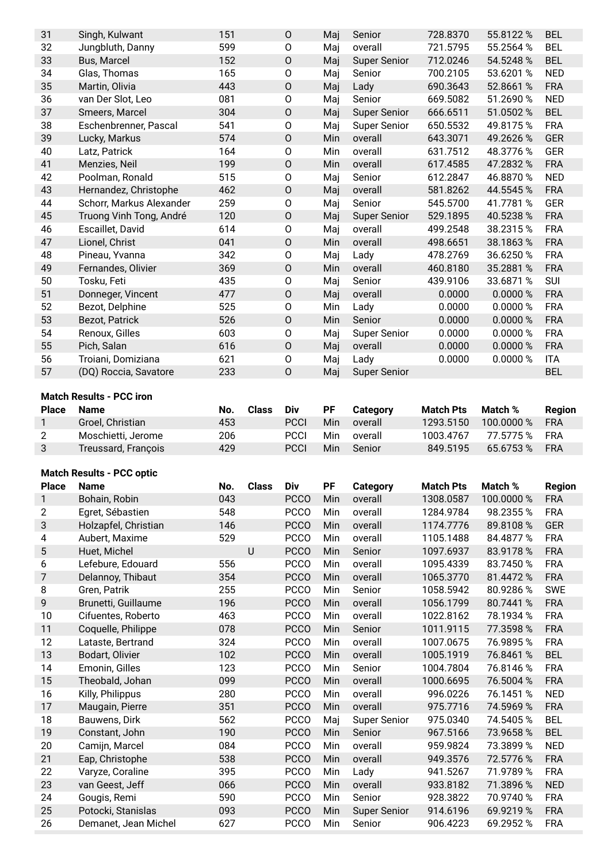| 31 | Singh, Kulwant           | 151 | $\mathsf{O}$ | Maj | Senior              | 728.8370 | 55.8122 % | <b>BEL</b> |
|----|--------------------------|-----|--------------|-----|---------------------|----------|-----------|------------|
| 32 | Jungbluth, Danny         | 599 | 0            | Maj | overall             | 721.5795 | 55.2564 % | <b>BEL</b> |
| 33 | Bus, Marcel              | 152 | $\mathsf{O}$ | Maj | <b>Super Senior</b> | 712.0246 | 54.5248 % | <b>BEL</b> |
| 34 | Glas, Thomas             | 165 | $\mathsf O$  | Mai | Senior              | 700.2105 | 53.6201 % | <b>NED</b> |
| 35 | Martin, Olivia           | 443 | $\mathsf O$  | Maj | Lady                | 690.3643 | 52.8661 % | <b>FRA</b> |
| 36 | van Der Slot, Leo        | 081 | 0            | Maj | Senior              | 669.5082 | 51.2690 % | <b>NED</b> |
| 37 | Smeers, Marcel           | 304 | $\mathsf O$  | Maj | <b>Super Senior</b> | 666.6511 | 51.0502 % | <b>BEL</b> |
| 38 | Eschenbrenner, Pascal    | 541 | O            | Maj | <b>Super Senior</b> | 650.5532 | 49.8175 % | <b>FRA</b> |
| 39 | Lucky, Markus            | 574 | O            | Min | overall             | 643.3071 | 49.2626 % | <b>GER</b> |
| 40 | Latz, Patrick            | 164 | $\mathsf O$  | Min | overall             | 631.7512 | 48.3776 % | <b>GER</b> |
| 41 | Menzies, Neil            | 199 | $\mathsf{O}$ | Min | overall             | 617.4585 | 47.2832 % | <b>FRA</b> |
| 42 | Poolman, Ronald          | 515 | $\mathsf O$  | Maj | Senior              | 612.2847 | 46.8870 % | <b>NED</b> |
| 43 | Hernandez, Christophe    | 462 | $\mathsf{O}$ | Maj | overall             | 581.8262 | 44.5545 % | <b>FRA</b> |
| 44 | Schorr, Markus Alexander | 259 | $\mathsf O$  | Maj | Senior              | 545.5700 | 41.7781 % | <b>GER</b> |
| 45 | Truong Vinh Tong, André  | 120 | O            | Maj | <b>Super Senior</b> | 529.1895 | 40.5238 % | <b>FRA</b> |
| 46 | Escaillet, David         | 614 | 0            | Maj | overall             | 499.2548 | 38.2315 % | <b>FRA</b> |
| 47 | Lionel, Christ           | 041 | $\mathsf O$  | Min | overall             | 498.6651 | 38.1863%  | <b>FRA</b> |
| 48 | Pineau, Yvanna           | 342 | 0            | Maj | Lady                | 478.2769 | 36.6250 % | <b>FRA</b> |
| 49 | Fernandes, Olivier       | 369 | O            | Min | overall             | 460.8180 | 35.2881 % | <b>FRA</b> |
| 50 | Tosku, Feti              | 435 | $\mathsf O$  | Maj | Senior              | 439.9106 | 33.6871 % | <b>SUI</b> |
| 51 | Donneger, Vincent        | 477 | $\mathsf{O}$ | Maj | overall             | 0.0000   | 0.0000 %  | <b>FRA</b> |
| 52 | Bezot, Delphine          | 525 | $\mathsf O$  | Min | Lady                | 0.0000   | 0.0000 %  | <b>FRA</b> |
| 53 | Bezot, Patrick           | 526 | $\mathsf{O}$ | Min | Senior              | 0.0000   | 0.0000 %  | <b>FRA</b> |
| 54 | Renoux, Gilles           | 603 | 0            | Maj | <b>Super Senior</b> | 0.0000   | 0.0000%   | <b>FRA</b> |
| 55 | Pich, Salan              | 616 | $\mathsf O$  | Maj | overall             | 0.0000   | 0.0000%   | <b>FRA</b> |
| 56 | Troiani, Domiziana       | 621 | 0            | Maj | Lady                | 0.0000   | 0.0000%   | <b>ITA</b> |
| 57 | (DQ) Roccia, Savatore    | 233 | $\Omega$     | Maj | <b>Super Senior</b> |          |           | <b>BEL</b> |

## **Match Results - PCC iron**

| <b>Place</b> | <b>Name</b>         | No. | Class | Div         | РF  | <b>Category</b> | <b>Match Pts</b> | Match %       | <b>Region</b> |
|--------------|---------------------|-----|-------|-------------|-----|-----------------|------------------|---------------|---------------|
|              | Groel, Christian    | 453 |       | <b>PCCI</b> | Min | overall         | 1293.5150        | 100.0000%     | <b>FRA</b>    |
|              | Moschietti. Jerome  | 206 |       | <b>PCCI</b> | Min | overall         | 1003.4767        | 77.5775 % FRA |               |
|              | Treussard, François | 429 |       | PCCI        | Min | Senior          | 849.5195         | 65.6753 % FRA |               |

#### **Match Results - PCC optic**

| <b>Place</b>   | <b>Name</b>          | No. | <b>Class</b> | Div         | PF  | <b>Category</b>     | <b>Match Pts</b> | Match %    | <b>Region</b> |
|----------------|----------------------|-----|--------------|-------------|-----|---------------------|------------------|------------|---------------|
| 1              | Bohain, Robin        | 043 |              | <b>PCCO</b> | Min | overall             | 1308.0587        | 100.0000 % | <b>FRA</b>    |
| $\overline{2}$ | Egret, Sébastien     | 548 |              | <b>PCCO</b> | Min | overall             | 1284.9784        | 98.2355%   | <b>FRA</b>    |
| 3              | Holzapfel, Christian | 146 |              | <b>PCCO</b> | Min | overall             | 1174.7776        | 89.8108%   | <b>GER</b>    |
| 4              | Aubert, Maxime       | 529 |              | <b>PCCO</b> | Min | overall             | 1105.1488        | 84.4877 %  | <b>FRA</b>    |
| 5              | Huet, Michel         |     | $\cup$       | <b>PCCO</b> | Min | Senior              | 1097.6937        | 83.9178 %  | <b>FRA</b>    |
| 6              | Lefebure, Edouard    | 556 |              | <b>PCCO</b> | Min | overall             | 1095.4339        | 83.7450 %  | <b>FRA</b>    |
| 7              | Delannoy, Thibaut    | 354 |              | <b>PCCO</b> | Min | overall             | 1065.3770        | 81.4472 %  | <b>FRA</b>    |
| 8              | Gren, Patrik         | 255 |              | <b>PCCO</b> | Min | Senior              | 1058.5942        | 80.9286%   | <b>SWE</b>    |
| 9              | Brunetti, Guillaume  | 196 |              | <b>PCCO</b> | Min | overall             | 1056.1799        | 80.7441 %  | <b>FRA</b>    |
| 10             | Cifuentes, Roberto   | 463 |              | <b>PCCO</b> | Min | overall             | 1022.8162        | 78.1934 %  | <b>FRA</b>    |
| 11             | Coquelle, Philippe   | 078 |              | <b>PCCO</b> | Min | Senior              | 1011.9115        | 77.3598 %  | <b>FRA</b>    |
| 12             | Lataste, Bertrand    | 324 |              | <b>PCCO</b> | Min | overall             | 1007.0675        | 76.9895 %  | <b>FRA</b>    |
| 13             | Bodart, Olivier      | 102 |              | <b>PCCO</b> | Min | overall             | 1005.1919        | 76.8461 %  | <b>BEL</b>    |
| 14             | Emonin, Gilles       | 123 |              | <b>PCCO</b> | Min | Senior              | 1004.7804        | 76.8146 %  | <b>FRA</b>    |
| 15             | Theobald, Johan      | 099 |              | <b>PCCO</b> | Min | overall             | 1000.6695        | 76.5004 %  | <b>FRA</b>    |
| 16             | Killy, Philippus     | 280 |              | <b>PCCO</b> | Min | overall             | 996.0226         | 76.1451 %  | <b>NED</b>    |
| 17             | Maugain, Pierre      | 351 |              | <b>PCCO</b> | Min | overall             | 975.7716         | 74.5969 %  | <b>FRA</b>    |
| 18             | Bauwens, Dirk        | 562 |              | <b>PCCO</b> | Maj | <b>Super Senior</b> | 975.0340         | 74.5405 %  | <b>BEL</b>    |
| 19             | Constant, John       | 190 |              | <b>PCCO</b> | Min | Senior              | 967.5166         | 73.9658 %  | <b>BEL</b>    |
| 20             | Camijn, Marcel       | 084 |              | <b>PCCO</b> | Min | overall             | 959.9824         | 73.3899 %  | <b>NED</b>    |
| 21             | Eap, Christophe      | 538 |              | <b>PCCO</b> | Min | overall             | 949.3576         | 72.5776 %  | <b>FRA</b>    |
| 22             | Varyze, Coraline     | 395 |              | <b>PCCO</b> | Min | Lady                | 941.5267         | 71.9789 %  | <b>FRA</b>    |
| 23             | van Geest, Jeff      | 066 |              | <b>PCCO</b> | Min | overall             | 933.8182         | 71.3896 %  | <b>NED</b>    |
| 24             | Gougis, Remi         | 590 |              | <b>PCCO</b> | Min | Senior              | 928.3822         | 70.9740 %  | <b>FRA</b>    |
| 25             | Potocki, Stanislas   | 093 |              | <b>PCCO</b> | Min | <b>Super Senior</b> | 914.6196         | 69.9219 %  | <b>FRA</b>    |
| 26             | Demanet, Jean Michel | 627 |              | <b>PCCO</b> | Min | Senior              | 906.4223         | 69.2952 %  | <b>FRA</b>    |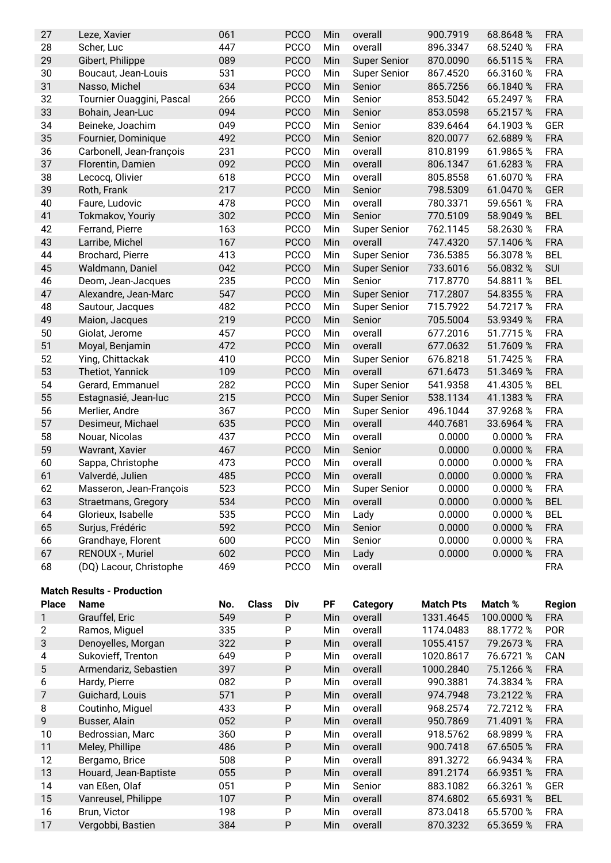| 27 | Leze, Xavier               | 061 | <b>PCCO</b> | Min | overall             | 900.7919 | 68.8648%  | <b>FRA</b> |
|----|----------------------------|-----|-------------|-----|---------------------|----------|-----------|------------|
| 28 | Scher, Luc                 | 447 | <b>PCCO</b> | Min | overall             | 896.3347 | 68.5240 % | <b>FRA</b> |
| 29 | Gibert, Philippe           | 089 | <b>PCCO</b> | Min | <b>Super Senior</b> | 870.0090 | 66.5115%  | <b>FRA</b> |
| 30 | Boucaut, Jean-Louis        | 531 | <b>PCCO</b> | Min | Super Senior        | 867.4520 | 66.3160 % | <b>FRA</b> |
| 31 | Nasso, Michel              | 634 | <b>PCCO</b> | Min | Senior              | 865.7256 | 66.1840 % | <b>FRA</b> |
| 32 | Tournier Ouaggini, Pascal  | 266 | <b>PCCO</b> | Min | Senior              | 853.5042 | 65.2497 % | <b>FRA</b> |
| 33 | Bohain, Jean-Luc           | 094 | <b>PCCO</b> | Min | Senior              | 853.0598 | 65.2157 % | <b>FRA</b> |
| 34 | Beineke, Joachim           | 049 | <b>PCCO</b> | Min | Senior              | 839.6464 | 64.1903 % | <b>GER</b> |
| 35 | Fournier, Dominique        | 492 | <b>PCCO</b> | Min | Senior              | 820.0077 | 62.6889 % | <b>FRA</b> |
| 36 | Carbonell, Jean-françois   | 231 | <b>PCCO</b> | Min | overall             | 810.8199 | 61.9865%  | <b>FRA</b> |
| 37 | Florentin, Damien          | 092 | <b>PCCO</b> | Min | overall             | 806.1347 | 61.6283%  | <b>FRA</b> |
| 38 | Lecocq, Olivier            | 618 | <b>PCCO</b> | Min | overall             | 805.8558 | 61.6070 % | <b>FRA</b> |
| 39 | Roth, Frank                | 217 | <b>PCCO</b> | Min | Senior              | 798.5309 | 61.0470 % | <b>GER</b> |
| 40 | Faure, Ludovic             | 478 | <b>PCCO</b> | Min | overall             | 780.3371 | 59.6561 % | <b>FRA</b> |
| 41 | Tokmakov, Youriy           | 302 | <b>PCCO</b> | Min | Senior              | 770.5109 | 58.9049 % | <b>BEL</b> |
| 42 | Ferrand, Pierre            | 163 | <b>PCCO</b> | Min | <b>Super Senior</b> | 762.1145 | 58.2630 % | <b>FRA</b> |
| 43 | Larribe, Michel            | 167 | <b>PCCO</b> | Min | overall             | 747.4320 | 57.1406 % | <b>FRA</b> |
| 44 | Brochard, Pierre           | 413 | <b>PCCO</b> | Min | <b>Super Senior</b> | 736.5385 | 56.3078 % | <b>BEL</b> |
| 45 | Waldmann, Daniel           | 042 | <b>PCCO</b> | Min | <b>Super Senior</b> | 733.6016 | 56.0832 % | <b>SUI</b> |
| 46 | Deom, Jean-Jacques         | 235 | <b>PCCO</b> | Min | Senior              | 717.8770 | 54.8811 % | <b>BEL</b> |
| 47 | Alexandre, Jean-Marc       | 547 | <b>PCCO</b> | Min | <b>Super Senior</b> | 717.2807 | 54.8355 % | <b>FRA</b> |
| 48 | Sautour, Jacques           | 482 | <b>PCCO</b> | Min | <b>Super Senior</b> | 715.7922 | 54.7217 % | <b>FRA</b> |
| 49 | Maion, Jacques             | 219 | <b>PCCO</b> | Min | Senior              | 705.5004 | 53.9349 % | <b>FRA</b> |
| 50 | Giolat, Jerome             | 457 | <b>PCCO</b> | Min | overall             | 677.2016 | 51.7715%  | <b>FRA</b> |
| 51 | Moyal, Benjamin            | 472 | <b>PCCO</b> | Min | overall             | 677.0632 | 51.7609 % | <b>FRA</b> |
| 52 | Ying, Chittackak           | 410 | <b>PCCO</b> | Min | <b>Super Senior</b> | 676.8218 | 51.7425%  | <b>FRA</b> |
| 53 | Thetiot, Yannick           | 109 | <b>PCCO</b> | Min | overall             | 671.6473 | 51.3469 % | <b>FRA</b> |
| 54 | Gerard, Emmanuel           | 282 | <b>PCCO</b> | Min | <b>Super Senior</b> | 541.9358 | 41.4305%  | <b>BEL</b> |
| 55 | Estagnasié, Jean-luc       | 215 | <b>PCCO</b> | Min | <b>Super Senior</b> | 538.1134 | 41.1383 % | <b>FRA</b> |
| 56 | Merlier, Andre             | 367 | <b>PCCO</b> | Min | <b>Super Senior</b> | 496.1044 | 37.9268%  | <b>FRA</b> |
| 57 | Desimeur, Michael          | 635 | <b>PCCO</b> | Min | overall             | 440.7681 | 33.6964 % | <b>FRA</b> |
| 58 | Nouar, Nicolas             | 437 | <b>PCCO</b> | Min | overall             | 0.0000   | 0.0000%   | <b>FRA</b> |
| 59 | Wavrant, Xavier            | 467 | <b>PCCO</b> | Min | Senior              | 0.0000   | 0.0000%   | <b>FRA</b> |
| 60 | Sappa, Christophe          | 473 | <b>PCCO</b> | Min | overall             | 0.0000   | 0.0000%   | <b>FRA</b> |
| 61 | Valverdé, Julien           | 485 | <b>PCCO</b> | Min | overall             | 0.0000   | 0.0000%   | <b>FRA</b> |
| 62 | Masseron, Jean-François    | 523 | PCCO        | Min | Super Senior        | 0.0000   | 0.0000 %  | <b>FRA</b> |
| 63 | <b>Straetmans, Gregory</b> | 534 | <b>PCCO</b> | Min | overall             | 0.0000   | 0.0000%   | <b>BEL</b> |
| 64 | Glorieux, Isabelle         | 535 | <b>PCCO</b> | Min | Lady                | 0.0000   | 0.0000%   | <b>BEL</b> |
| 65 | Surjus, Frédéric           | 592 | <b>PCCO</b> | Min | Senior              | 0.0000   | 0.0000%   | <b>FRA</b> |
| 66 | Grandhaye, Florent         | 600 | <b>PCCO</b> | Min | Senior              | 0.0000   | 0.0000 %  | <b>FRA</b> |
| 67 | RENOUX -, Muriel           | 602 | <b>PCCO</b> | Min | Lady                | 0.0000   | 0.0000 %  | <b>FRA</b> |
| 68 | (DQ) Lacour, Christophe    | 469 | <b>PCCO</b> | Min | overall             |          |           | <b>FRA</b> |

### **Match Results - Production**

| <b>Place</b> | <b>Name</b>           | No. | <b>Class</b> | Div | PF         | Category | <b>Match Pts</b> | Match %    | <b>Region</b> |
|--------------|-----------------------|-----|--------------|-----|------------|----------|------------------|------------|---------------|
|              | Grauffel, Eric        | 549 |              | P   | <b>Min</b> | overall  | 1331.4645        | 100.0000 % | <b>FRA</b>    |
| 2            | Ramos, Miguel         | 335 |              | P   | Min        | overall  | 1174.0483        | 88.1772 %  | <b>POR</b>    |
| 3            | Denoyelles, Morgan    | 322 |              | P   | Min        | overall  | 1055.4157        | 79.2673 %  | <b>FRA</b>    |
| 4            | Sukovieff, Trenton    | 649 |              | P   | Min        | overall  | 1020.8617        | 76.6721 %  | CAN           |
| 5            | Armendariz, Sebastien | 397 |              | P   | <b>Min</b> | overall  | 1000.2840        | 75.1266 %  | <b>FRA</b>    |
| 6            | Hardy, Pierre         | 082 |              | P   | Min        | overall  | 990.3881         | 74.3834 %  | <b>FRA</b>    |
| 7            | Guichard, Louis       | 571 |              | P   | Min        | overall  | 974.7948         | 73.2122 %  | <b>FRA</b>    |
| 8            | Coutinho, Miguel      | 433 |              | P   | Min        | overall  | 968.2574         | 72.7212 %  | <b>FRA</b>    |
| 9            | Busser, Alain         | 052 |              | P   | Min        | overall  | 950.7869         | 71.4091 %  | <b>FRA</b>    |
| 10           | Bedrossian, Marc      | 360 |              | P   | Min        | overall  | 918.5762         | 68.9899 %  | <b>FRA</b>    |
| 11           | Meley, Phillipe       | 486 |              | P   | <b>Min</b> | overall  | 900.7418         | 67.6505 %  | <b>FRA</b>    |
| 12           | Bergamo, Brice        | 508 |              | P   | Min        | overall  | 891.3272         | 66.9434 %  | <b>FRA</b>    |
| 13           | Houard, Jean-Baptiste | 055 |              | P   | <b>Min</b> | overall  | 891.2174         | 66.9351 %  | <b>FRA</b>    |
| 14           | van Eßen, Olaf        | 051 |              | P   | Min        | Senior   | 883.1082         | 66.3261 %  | <b>GER</b>    |
| 15           | Vanreusel, Philippe   | 107 |              | P   | <b>Min</b> | overall  | 874.6802         | 65.6931 %  | <b>BEL</b>    |
| 16           | Brun, Victor          | 198 |              | P   | Min        | overall  | 873.0418         | 65.5700 %  | <b>FRA</b>    |
| 17           | Vergobbi, Bastien     | 384 |              | P   | <b>Min</b> | overall  | 870.3232         | 65.3659 %  | <b>FRA</b>    |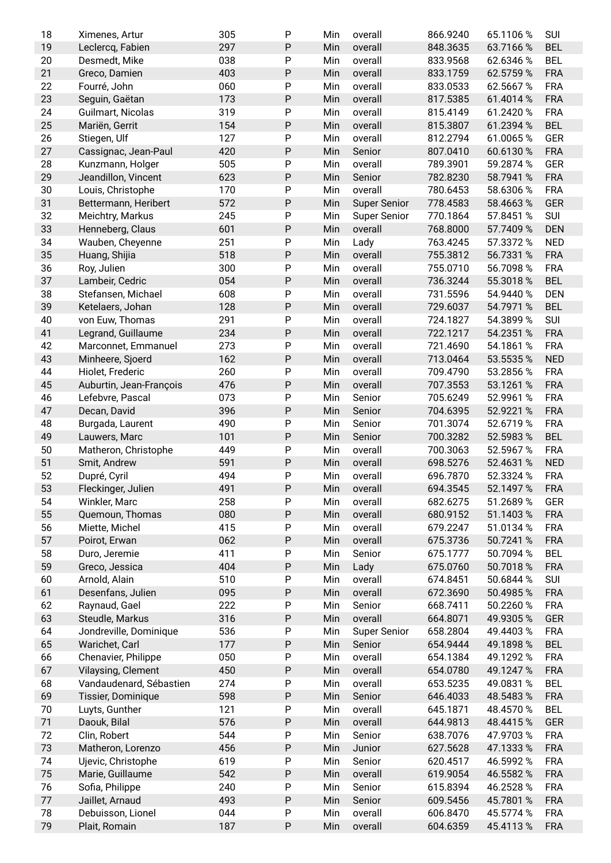| 19 | Ximenes, Artur          | 305 | P         | Min | overall             | 866.9240 | 65.1106 % | <b>SUI</b> |
|----|-------------------------|-----|-----------|-----|---------------------|----------|-----------|------------|
|    | Leclercq, Fabien        | 297 | P         | Min | overall             | 848.3635 | 63.7166%  | <b>BEL</b> |
| 20 | Desmedt, Mike           | 038 | P         | Min | overall             | 833.9568 | 62.6346 % | <b>BEL</b> |
| 21 | Greco, Damien           | 403 | ${\sf P}$ | Min | overall             | 833.1759 | 62.5759 % | <b>FRA</b> |
| 22 | Fourré, John            | 060 | P         | Min | overall             | 833.0533 | 62.5667%  | <b>FRA</b> |
| 23 | Seguin, Gaëtan          | 173 | ${\sf P}$ | Min | overall             | 817.5385 | 61.4014 % | <b>FRA</b> |
|    |                         |     |           |     |                     |          |           |            |
| 24 | Guilmart, Nicolas       | 319 | P         | Min | overall             | 815.4149 | 61.2420 % | <b>FRA</b> |
| 25 | Mariën, Gerrit          | 154 | P         | Min | overall             | 815.3807 | 61.2394 % | <b>BEL</b> |
| 26 | Stiegen, Ulf            | 127 | P         | Min | overall             | 812.2794 | 61.0065%  | <b>GER</b> |
| 27 | Cassignac, Jean-Paul    | 420 | ${\sf P}$ | Min | Senior              | 807.0410 | 60.6130 % | <b>FRA</b> |
| 28 | Kunzmann, Holger        | 505 | P         | Min | overall             | 789.3901 | 59.2874 % | <b>GER</b> |
| 29 | Jeandillon, Vincent     | 623 | ${\sf P}$ | Min | Senior              | 782.8230 | 58.7941 % | <b>FRA</b> |
| 30 | Louis, Christophe       | 170 | P         | Min | overall             | 780.6453 | 58.6306 % | <b>FRA</b> |
| 31 | Bettermann, Heribert    | 572 | ${\sf P}$ | Min | <b>Super Senior</b> | 778.4583 | 58.4663%  | <b>GER</b> |
| 32 | Meichtry, Markus        | 245 | P         | Min | <b>Super Senior</b> | 770.1864 | 57.8451 % | <b>SUI</b> |
| 33 | Henneberg, Claus        | 601 | ${\sf P}$ | Min | overall             | 768.8000 | 57.7409 % | <b>DEN</b> |
| 34 | Wauben, Cheyenne        | 251 | P         | Min | Lady                | 763.4245 | 57.3372 % | <b>NED</b> |
| 35 | Huang, Shijia           | 518 | ${\sf P}$ | Min | overall             | 755.3812 | 56.7331 % | <b>FRA</b> |
| 36 | Roy, Julien             | 300 | P         | Min | overall             | 755.0710 | 56.7098 % | <b>FRA</b> |
| 37 | Lambeir, Cedric         | 054 | ${\sf P}$ | Min | overall             | 736.3244 | 55.3018 % | <b>BEL</b> |
|    |                         |     |           |     |                     |          |           |            |
| 38 | Stefansen, Michael      | 608 | P         | Min | overall             | 731.5596 | 54.9440 % | <b>DEN</b> |
| 39 | Ketelaers, Johan        | 128 | ${\sf P}$ | Min | overall             | 729.6037 | 54.7971 % | <b>BEL</b> |
| 40 | von Euw, Thomas         | 291 | P         | Min | overall             | 724.1827 | 54.3899 % | <b>SUI</b> |
| 41 | Legrand, Guillaume      | 234 | ${\sf P}$ | Min | overall             | 722.1217 | 54.2351 % | <b>FRA</b> |
| 42 | Marconnet, Emmanuel     | 273 | P         | Min | overall             | 721.4690 | 54.1861 % | <b>FRA</b> |
| 43 | Minheere, Sjoerd        | 162 | P         | Min | overall             | 713.0464 | 53.5535 % | <b>NED</b> |
| 44 | Hiolet, Frederic        | 260 | P         | Min | overall             | 709.4790 | 53.2856 % | <b>FRA</b> |
| 45 | Auburtin, Jean-François | 476 | ${\sf P}$ | Min | overall             | 707.3553 | 53.1261 % | <b>FRA</b> |
| 46 | Lefebvre, Pascal        | 073 | P         | Min | Senior              | 705.6249 | 52.9961 % | <b>FRA</b> |
| 47 | Decan, David            | 396 | ${\sf P}$ | Min | Senior              | 704.6395 | 52.9221 % | <b>FRA</b> |
| 48 | Burgada, Laurent        | 490 | P         | Min | Senior              | 701.3074 | 52.6719 % | <b>FRA</b> |
| 49 | Lauwers, Marc           | 101 | ${\sf P}$ | Min | Senior              | 700.3282 | 52.5983 % | <b>BEL</b> |
| 50 | Matheron, Christophe    | 449 | P         | Min | overall             | 700.3063 | 52.5967 % | <b>FRA</b> |
| 51 | Smit, Andrew            | 591 | ${\sf P}$ | Min | overall             | 698.5276 | 52.4631 % | <b>NED</b> |
|    |                         |     |           |     | overall             | 696.7870 |           | <b>FRA</b> |
|    |                         |     |           |     |                     |          |           |            |
| 52 | Dupré, Cyril            | 494 | P         | Min |                     |          | 52.3324 % |            |
| 53 | Fleckinger, Julien      | 491 | P         | Min | overall             | 694.3545 | 52.1497 % | <b>FRA</b> |
| 54 | Winkler, Marc           | 258 | Ρ         | Min | overall             | 682.6275 | 51.2689 % | <b>GER</b> |
| 55 | Quemoun, Thomas         | 080 | ${\sf P}$ | Min | overall             | 680.9152 | 51.1403 % | <b>FRA</b> |
| 56 | Miette, Michel          | 415 | P         | Min | overall             | 679.2247 | 51.0134 % | <b>FRA</b> |
| 57 | Poirot, Erwan           | 062 | P         | Min | overall             | 675.3736 | 50.7241 % | <b>FRA</b> |
| 58 | Duro, Jeremie           | 411 | P         | Min | Senior              | 675.1777 | 50.7094 % | <b>BEL</b> |
| 59 | Greco, Jessica          | 404 | ${\sf P}$ | Min | Lady                | 675.0760 | 50.7018%  | <b>FRA</b> |
| 60 | Arnold, Alain           | 510 | P         | Min | overall             | 674.8451 | 50.6844 % | <b>SUI</b> |
| 61 | Desenfans, Julien       | 095 | P         | Min | overall             | 672.3690 | 50.4985 % | <b>FRA</b> |
| 62 | Raynaud, Gael           | 222 | P         | Min | Senior              | 668.7411 | 50.2260 % | <b>FRA</b> |
|    |                         |     |           |     |                     |          |           |            |
| 63 | Steudle, Markus         | 316 | ${\sf P}$ | Min | overall             | 664.8071 | 49.9305%  | <b>GER</b> |
| 64 | Jondreville, Dominique  | 536 | P         | Min | <b>Super Senior</b> | 658.2804 | 49.4403%  | <b>FRA</b> |
| 65 | Warichet, Carl          | 177 | ${\sf P}$ | Min | Senior              | 654.9444 | 49.1898 % | <b>BEL</b> |
| 66 | Chenavier, Philippe     | 050 | P         | Min | overall             | 654.1384 | 49.1292 % | <b>FRA</b> |
| 67 | Vilaysing, Clement      | 450 | ${\sf P}$ | Min | overall             | 654.0780 | 49.1247 % | <b>FRA</b> |
| 68 | Vandaudenard, Sébastien | 274 | P         | Min | overall             | 653.5235 | 49.0831 % | <b>BEL</b> |
| 69 | Tissier, Dominique      | 598 | ${\sf P}$ | Min | Senior              | 646.4033 | 48.5483 % | <b>FRA</b> |
| 70 | Luyts, Gunther          | 121 | P         | Min | overall             | 645.1871 | 48.4570 % | <b>BEL</b> |
| 71 | Daouk, Bilal            | 576 | P         | Min | overall             | 644.9813 | 48.4415%  | <b>GER</b> |
| 72 | Clin, Robert            | 544 | P         | Min | Senior              | 638.7076 | 47.9703%  | <b>FRA</b> |
| 73 | Matheron, Lorenzo       | 456 | P         | Min | Junior              | 627.5628 | 47.1333 % | <b>FRA</b> |
| 74 | Ujevic, Christophe      | 619 | P         | Min | Senior              | 620.4517 | 46.5992 % | <b>FRA</b> |
| 75 | Marie, Guillaume        | 542 | ${\sf P}$ | Min | overall             | 619.9054 | 46.5582 % | <b>FRA</b> |
| 76 | Sofia, Philippe         | 240 | P         | Min | Senior              | 615.8394 | 46.2528 % | <b>FRA</b> |
| 77 | Jaillet, Arnaud         | 493 | P         | Min | Senior              | 609.5456 | 45.7801 % | <b>FRA</b> |
| 78 | Debuisson, Lionel       | 044 | P         | Min | overall             | 606.8470 | 45.5774 % | <b>FRA</b> |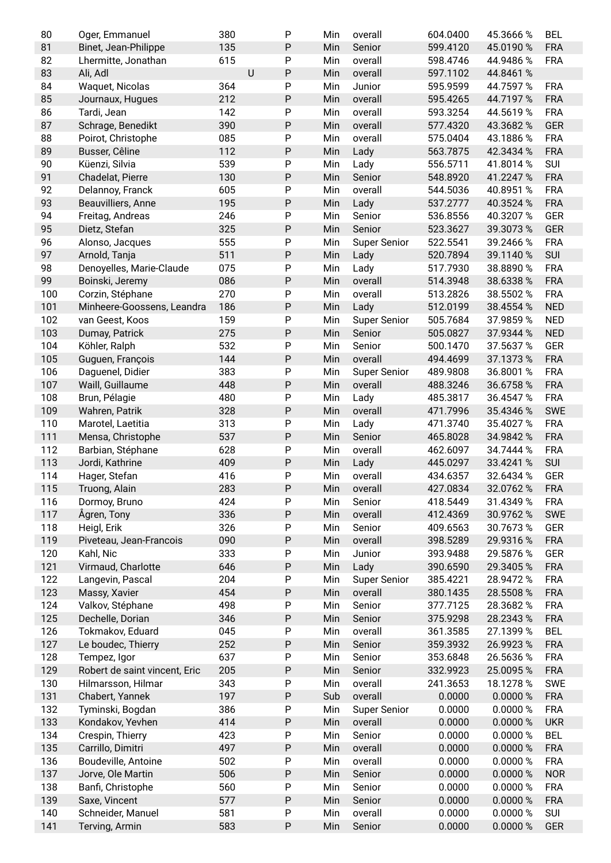| 80  | Oger, Emmanuel                | 380     | ${\sf P}$ | Min | overall             | 604.0400 | 45.3666 % | <b>BEL</b> |
|-----|-------------------------------|---------|-----------|-----|---------------------|----------|-----------|------------|
| 81  | Binet, Jean-Philippe          | 135     | ${\sf P}$ | Min | Senior              | 599.4120 | 45.0190 % | <b>FRA</b> |
| 82  | Lhermitte, Jonathan           | 615     | P         | Min | overall             | 598.4746 | 44.9486 % | <b>FRA</b> |
| 83  | Ali, Adl                      | $\sf U$ | ${\sf P}$ | Min | overall             | 597.1102 | 44.8461 % |            |
| 84  | Waquet, Nicolas               | 364     | ${\sf P}$ | Min | Junior              | 595.9599 | 44.7597 % | <b>FRA</b> |
| 85  | Journaux, Hugues              | 212     | P         | Min | overall             | 595.4265 | 44.7197 % | <b>FRA</b> |
| 86  | Tardi, Jean                   | 142     | P         | Min | overall             | 593.3254 | 44.5619 % | <b>FRA</b> |
| 87  | Schrage, Benedikt             | 390     | ${\sf P}$ | Min | overall             | 577.4320 | 43.3682 % | <b>GER</b> |
| 88  | Poirot, Christophe            | 085     | P         | Min | overall             | 575.0404 | 43.1886 % | <b>FRA</b> |
| 89  | Busser, Cêline                | 112     | ${\sf P}$ | Min | Lady                | 563.7875 | 42.3434 % | <b>FRA</b> |
| 90  | Küenzi, Silvia                | 539     | P         | Min | Lady                | 556.5711 | 41.8014 % | SUI        |
| 91  | Chadelat, Pierre              | 130     | ${\sf P}$ | Min | Senior              | 548.8920 | 41.2247 % | <b>FRA</b> |
| 92  | Delannoy, Franck              | 605     | P         | Min | overall             | 544.5036 | 40.8951 % | <b>FRA</b> |
| 93  | Beauvilliers, Anne            | 195     | ${\sf P}$ | Min | Lady                | 537.2777 | 40.3524 % | <b>FRA</b> |
| 94  | Freitag, Andreas              | 246     | ${\sf P}$ | Min | Senior              | 536.8556 | 40.3207 % | GER        |
| 95  | Dietz, Stefan                 | 325     | P         | Min | Senior              | 523.3627 | 39.3073%  | <b>GER</b> |
| 96  | Alonso, Jacques               | 555     | P         | Min | <b>Super Senior</b> | 522.5541 | 39.2466 % | <b>FRA</b> |
| 97  | Arnold, Tanja                 | 511     | ${\sf P}$ | Min | Lady                | 520.7894 | 39.1140 % | SUI        |
| 98  | Denoyelles, Marie-Claude      | 075     | P         | Min | Lady                | 517.7930 | 38.8890 % | <b>FRA</b> |
| 99  | Boinski, Jeremy               | 086     | ${\sf P}$ | Min | overall             | 514.3948 | 38.6338 % | <b>FRA</b> |
| 100 | Corzin, Stéphane              | 270     | P         | Min | overall             | 513.2826 | 38.5502 % | <b>FRA</b> |
| 101 | Minheere-Goossens, Leandra    | 186     | ${\sf P}$ | Min | Lady                | 512.0199 | 38.4554 % | <b>NED</b> |
| 102 | van Geest, Koos               | 159     | $\sf P$   | Min | <b>Super Senior</b> | 505.7684 | 37.9859 % | <b>NED</b> |
| 103 | Dumay, Patrick                | 275     | P         | Min | Senior              | 505.0827 | 37.9344 % | <b>NED</b> |
| 104 | Köhler, Ralph                 | 532     | P         | Min | Senior              | 500.1470 | 37.5637 % | <b>GER</b> |
| 105 | Guguen, François              | 144     | ${\sf P}$ | Min | overall             | 494.4699 | 37.1373 % | <b>FRA</b> |
| 106 | Daguenel, Didier              | 383     | P         | Min | <b>Super Senior</b> | 489.9808 | 36.8001 % | <b>FRA</b> |
| 107 | Waill, Guillaume              | 448     | ${\sf P}$ | Min | overall             | 488.3246 | 36.6758 % | <b>FRA</b> |
| 108 | Brun, Pélagie                 | 480     | P         | Min | Lady                | 485.3817 | 36.4547 % | <b>FRA</b> |
| 109 | Wahren, Patrik                | 328     | ${\sf P}$ | Min | overall             | 471.7996 | 35.4346 % | <b>SWE</b> |
| 110 | Marotel, Laetitia             | 313     | P         | Min | Lady                | 471.3740 | 35.4027 % | <b>FRA</b> |
| 111 | Mensa, Christophe             | 537     | ${\sf P}$ | Min | Senior              | 465.8028 | 34.9842 % | <b>FRA</b> |
| 112 | Barbian, Stéphane             | 628     | ${\sf P}$ | Min | overall             | 462.6097 | 34.7444 % | <b>FRA</b> |
| 113 | Jordi, Kathrine               | 409     | P         | Min | Lady                | 445.0297 | 33.4241 % | SUI        |
| 114 | Hager, Stefan                 | 416     | P         | Min | overall             | 434.6357 | 32.6434 % | <b>GER</b> |
| 115 | Truong, Alain                 | 283     | P         | Min | overall             | 427.0834 | 32.0762 % | <b>FRA</b> |
| 116 | Dormoy, Bruno                 | 424     | P         | Min | Senior              | 418.5449 | 31.4349 % | <b>FRA</b> |
| 117 | Ågren, Tony                   | 336     | ${\sf P}$ | Min | overall             | 412.4369 | 30.9762 % | <b>SWE</b> |
| 118 | Heigl, Erik                   | 326     | P         | Min | Senior              | 409.6563 | 30.7673 % | <b>GER</b> |
| 119 | Piveteau, Jean-Francois       | 090     | P         | Min | overall             | 398.5289 | 29.9316 % | <b>FRA</b> |
| 120 | Kahl, Nic                     | 333     | P         | Min | Junior              | 393.9488 | 29.5876 % | <b>GER</b> |
| 121 | Virmaud, Charlotte            | 646     | P         | Min | Lady                | 390.6590 | 29.3405%  | <b>FRA</b> |
| 122 | Langevin, Pascal              | 204     | P         | Min | <b>Super Senior</b> | 385.4221 | 28.9472 % | <b>FRA</b> |
| 123 | Massy, Xavier                 | 454     | P         | Min | overall             | 380.1435 | 28.5508 % | <b>FRA</b> |
| 124 | Valkov, Stéphane              | 498     | P         | Min | Senior              | 377.7125 | 28.3682 % | <b>FRA</b> |
| 125 | Dechelle, Dorian              | 346     | ${\sf P}$ | Min | Senior              | 375.9298 | 28.2343 % | <b>FRA</b> |
| 126 | Tokmakov, Eduard              | 045     | P         | Min | overall             | 361.3585 | 27.1399 % | <b>BEL</b> |
| 127 | Le boudec, Thierry            | 252     | P         | Min | Senior              | 359.3932 | 26.9923 % | <b>FRA</b> |
| 128 | Tempez, Igor                  | 637     | P         | Min | Senior              | 353.6848 | 26.5636 % | <b>FRA</b> |
| 129 | Robert de saint vincent, Eric | 205     | P         | Min | Senior              | 332.9923 | 25.0095%  | <b>FRA</b> |
| 130 | Hilmarsson, Hilmar            | 343     | P         | Min | overall             | 241.3653 | 18.1278 % | <b>SWE</b> |
| 131 | Chabert, Yannek               | 197     | P         | Sub | overall             | 0.0000   | 0.0000%   | <b>FRA</b> |
| 132 | Tyminski, Bogdan              | 386     | P         | Min | <b>Super Senior</b> | 0.0000   | 0.0000%   | <b>FRA</b> |
| 133 | Kondakov, Yevhen              | 414     | ${\sf P}$ | Min | overall             | 0.0000   | 0.0000%   | <b>UKR</b> |
| 134 |                               | 423     | P         | Min | Senior              | 0.0000   | 0.0000%   | <b>BEL</b> |
| 135 | Crespin, Thierry              | 497     | ${\sf P}$ |     |                     | 0.0000   |           |            |
|     | Carrillo, Dimitri             | 502     |           | Min | overall             |          | 0.0000 %  | <b>FRA</b> |
| 136 | Boudeville, Antoine           |         | P         | Min | overall             | 0.0000   | 0.0000%   | <b>FRA</b> |
| 137 | Jorve, Ole Martin             | 506     | ${\sf P}$ | Min | Senior              | 0.0000   | 0.0000 %  | <b>NOR</b> |
| 138 | Banfi, Christophe             | 560     | P         | Min | Senior              | 0.0000   | 0.0000%   | <b>FRA</b> |
| 139 | Saxe, Vincent                 | 577     | ${\sf P}$ | Min | Senior              | 0.0000   | 0.0000 %  | <b>FRA</b> |
| 140 | Schneider, Manuel             | 581     | P         | Min | overall             | 0.0000   | 0.0000%   | SUI        |
| 141 | Terving, Armin                | 583     | P         | Min | Senior              | 0.0000   | 0.0000%   | <b>GER</b> |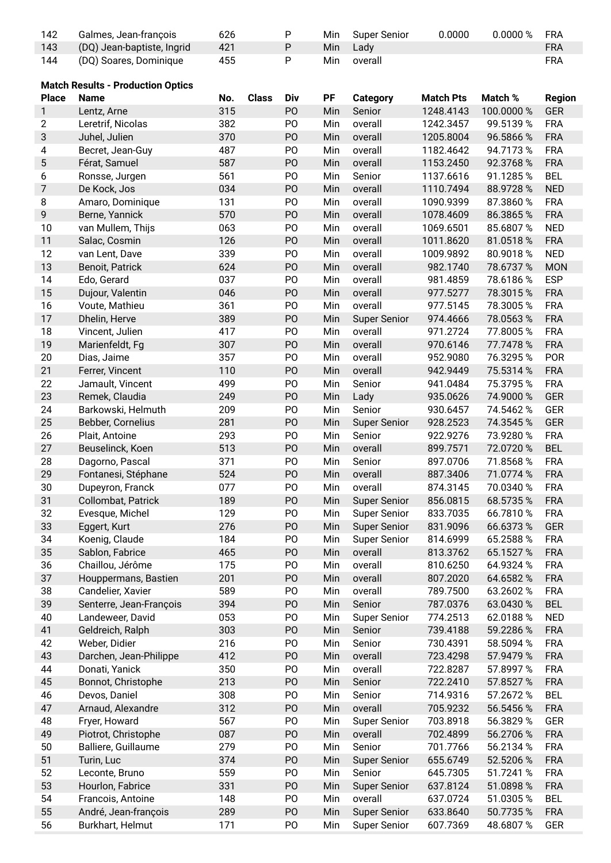| 142          | Galmes, Jean-françois                    | 626 |              | P              | Min | <b>Super Senior</b>            | 0.0000           | 0.0000 %   | <b>FRA</b>    |
|--------------|------------------------------------------|-----|--------------|----------------|-----|--------------------------------|------------------|------------|---------------|
| 143          | (DQ) Jean-baptiste, Ingrid               | 421 |              | ${\sf P}$      | Min | Lady                           |                  |            | <b>FRA</b>    |
| 144          | (DQ) Soares, Dominique                   | 455 |              | P              | Min | overall                        |                  |            | <b>FRA</b>    |
|              |                                          |     |              |                |     |                                |                  |            |               |
|              | <b>Match Results - Production Optics</b> |     |              |                |     |                                |                  |            |               |
| <b>Place</b> | <b>Name</b>                              | No. | <b>Class</b> | Div            | PF  | <b>Category</b>                | <b>Match Pts</b> | Match %    | <b>Region</b> |
|              |                                          | 315 |              | PO             |     |                                |                  |            |               |
| 1            | Lentz, Arne                              |     |              |                | Min | Senior                         | 1248.4143        | 100.0000 % | GER           |
| 2            | Leretrif, Nicolas                        | 382 |              | PO             | Min | overall                        | 1242.3457        | 99.5139 %  | <b>FRA</b>    |
| 3            | Juhel, Julien                            | 370 |              | PO             | Min | overall                        | 1205.8004        | 96.5866 %  | <b>FRA</b>    |
| 4            | Becret, Jean-Guy                         | 487 |              | P <sub>O</sub> | Min | overall                        | 1182.4642        | 94.7173%   | <b>FRA</b>    |
| 5            | Férat, Samuel                            | 587 |              | PO             | Min | overall                        | 1153.2450        | 92.3768%   | <b>FRA</b>    |
| 6            | Ronsse, Jurgen                           | 561 |              | PO             | Min | Senior                         | 1137.6616        | 91.1285%   | <b>BEL</b>    |
| 7            | De Kock, Jos                             | 034 |              | P <sub>O</sub> | Min | overall                        | 1110.7494        | 88.9728%   | <b>NED</b>    |
| 8            | Amaro, Dominique                         | 131 |              | PO             | Min | overall                        | 1090.9399        | 87.3860 %  | <b>FRA</b>    |
| 9            | Berne, Yannick                           | 570 |              | PO             | Min | overall                        | 1078.4609        | 86.3865%   | <b>FRA</b>    |
| 10           | van Mullem, Thijs                        | 063 |              | PO             | Min | overall                        | 1069.6501        | 85.6807%   | <b>NED</b>    |
| 11           | Salac, Cosmin                            | 126 |              | PO             | Min | overall                        | 1011.8620        | 81.0518%   | <b>FRA</b>    |
| 12           | van Lent, Dave                           | 339 |              | PO             | Min | overall                        | 1009.9892        | 80.9018%   | <b>NED</b>    |
| 13           | Benoit, Patrick                          | 624 |              | PO             | Min | overall                        | 982.1740         | 78.6737 %  | <b>MON</b>    |
| 14           | Edo, Gerard                              | 037 |              | PO             | Min | overall                        | 981.4859         | 78.6186%   | <b>ESP</b>    |
| 15           | Dujour, Valentin                         | 046 |              | PO             | Min | overall                        | 977.5277         | 78.3015%   | <b>FRA</b>    |
| 16           | Voute, Mathieu                           | 361 |              | PO             | Min | overall                        | 977.5145         | 78.3005%   | <b>FRA</b>    |
|              |                                          |     |              |                |     |                                |                  |            |               |
| 17           | Dhelin, Herve                            | 389 |              | P <sub>O</sub> | Min | <b>Super Senior</b>            | 974.4666         | 78.0563%   | <b>FRA</b>    |
| 18           | Vincent, Julien                          | 417 |              | PO             | Min | overall                        | 971.2724         | 77.8005%   | <b>FRA</b>    |
| 19           | Marienfeldt, Fg                          | 307 |              | PO             | Min | overall                        | 970.6146         | 77.7478 %  | <b>FRA</b>    |
| 20           | Dias, Jaime                              | 357 |              | PO             | Min | overall                        | 952.9080         | 76.3295%   | POR           |
| 21           | Ferrer, Vincent                          | 110 |              | PO             | Min | overall                        | 942.9449         | 75.5314 %  | <b>FRA</b>    |
| 22           | Jamault, Vincent                         | 499 |              | PO             | Min | Senior                         | 941.0484         | 75.3795%   | <b>FRA</b>    |
| 23           | Remek, Claudia                           | 249 |              | PO             | Min | Lady                           | 935.0626         | 74.9000 %  | GER           |
| 24           | Barkowski, Helmuth                       | 209 |              | P <sub>O</sub> | Min | Senior                         | 930.6457         | 74.5462 %  | <b>GER</b>    |
| 25           | Bebber, Cornelius                        | 281 |              | PO             | Min | <b>Super Senior</b>            | 928.2523         | 74.3545 %  | <b>GER</b>    |
| 26           | Plait, Antoine                           | 293 |              | PO             | Min | Senior                         | 922.9276         | 73.9280 %  | <b>FRA</b>    |
| 27           | Beuselinck, Koen                         | 513 |              | PO             | Min | overall                        | 899.7571         | 72.0720 %  | <b>BEL</b>    |
| 28           | Dagorno, Pascal                          | 371 |              | P <sub>O</sub> | Min | Senior                         | 897.0706         | 71.8568 %  | <b>FRA</b>    |
| 29           | Fontanesi, Stéphane                      | 524 |              | P <sub>O</sub> | Min | overall                        | 887.3406         | 71.0774 %  | <b>FRA</b>    |
| 30           | Dupeyron, Franck                         | 077 |              | PO             | Min | overall                        | 874.3145         | 70.0340 %  | <b>FRA</b>    |
| 31           | Collombat, Patrick                       | 189 |              | PO             | Min | <b>Super Senior</b>            | 856.0815         | 68.5735 %  | <b>FRA</b>    |
| 32           | Evesque, Michel                          | 129 |              | P <sub>O</sub> | Min | <b>Super Senior</b>            | 833.7035         | 66.7810%   | <b>FRA</b>    |
| 33           | Eggert, Kurt                             | 276 |              | PO             | Min | <b>Super Senior</b>            | 831.9096         | 66.6373 %  | GER           |
| 34           | Koenig, Claude                           | 184 |              | PO             | Min |                                | 814.6999         | 65.2588 %  | <b>FRA</b>    |
|              |                                          |     |              |                |     | <b>Super Senior</b><br>overall |                  |            |               |
| 35           | Sablon, Fabrice                          | 465 |              | PO             | Min |                                | 813.3762         | 65.1527 %  | <b>FRA</b>    |
| 36           | Chaillou, Jérôme                         | 175 |              | PO             | Min | overall                        | 810.6250         | 64.9324 %  | <b>FRA</b>    |
| 37           | Houppermans, Bastien                     | 201 |              | P <sub>O</sub> | Min | overall                        | 807.2020         | 64.6582 %  | <b>FRA</b>    |
| 38           | Candelier, Xavier                        | 589 |              | P <sub>O</sub> | Min | overall                        | 789.7500         | 63.2602 %  | <b>FRA</b>    |
| 39           | Senterre, Jean-François                  | 394 |              | PO             | Min | Senior                         | 787.0376         | 63.0430 %  | <b>BEL</b>    |
| 40           | Landeweer, David                         | 053 |              | PO             | Min | <b>Super Senior</b>            | 774.2513         | 62.0188%   | <b>NED</b>    |
| 41           | Geldreich, Ralph                         | 303 |              | PO             | Min | Senior                         | 739.4188         | 59.2286 %  | <b>FRA</b>    |
| 42           | Weber, Didier                            | 216 |              | P <sub>O</sub> | Min | Senior                         | 730.4391         | 58.5094 %  | <b>FRA</b>    |
| 43           | Darchen, Jean-Philippe                   | 412 |              | PO             | Min | overall                        | 723.4298         | 57.9479 %  | <b>FRA</b>    |
| 44           | Donati, Yanick                           | 350 |              | PO             | Min | overall                        | 722.8287         | 57.8997 %  | <b>FRA</b>    |
| 45           | Bonnot, Christophe                       | 213 |              | PO             | Min | Senior                         | 722.2410         | 57.8527 %  | <b>FRA</b>    |
| 46           | Devos, Daniel                            | 308 |              | P <sub>O</sub> | Min | Senior                         | 714.9316         | 57.2672 %  | <b>BEL</b>    |
| 47           | Arnaud, Alexandre                        | 312 |              | PO             | Min | overall                        | 705.9232         | 56.5456 %  | <b>FRA</b>    |
| 48           | Fryer, Howard                            | 567 |              | PO             | Min | <b>Super Senior</b>            | 703.8918         | 56.3829 %  | GER           |
| 49           | Piotrot, Christophe                      | 087 |              | PO             | Min | overall                        | 702.4899         | 56.2706 %  | <b>FRA</b>    |
| 50           | Balliere, Guillaume                      | 279 |              | PO             | Min | Senior                         | 701.7766         | 56.2134 %  | <b>FRA</b>    |
| 51           |                                          | 374 |              | PO             |     |                                | 655.6749         |            | <b>FRA</b>    |
|              | Turin, Luc                               |     |              |                | Min | <b>Super Senior</b>            |                  | 52.5206 %  |               |
| 52           | Leconte, Bruno                           | 559 |              | PO             | Min | Senior                         | 645.7305         | 51.7241 %  | <b>FRA</b>    |
| 53           | Hourlon, Fabrice                         | 331 |              | PO             | Min | <b>Super Senior</b>            | 637.8124         | 51.0898 %  | <b>FRA</b>    |
| 54           | Francois, Antoine                        | 148 |              | PO             | Min | overall                        | 637.0724         | 51.0305%   | <b>BEL</b>    |
| 55           | André, Jean-françois                     | 289 |              | PO             | Min | <b>Super Senior</b>            | 633.8640         | 50.7735 %  | <b>FRA</b>    |
| 56           | Burkhart, Helmut                         | 171 |              | P <sub>O</sub> | Min | <b>Super Senior</b>            | 607.7369         | 48.6807%   | GER           |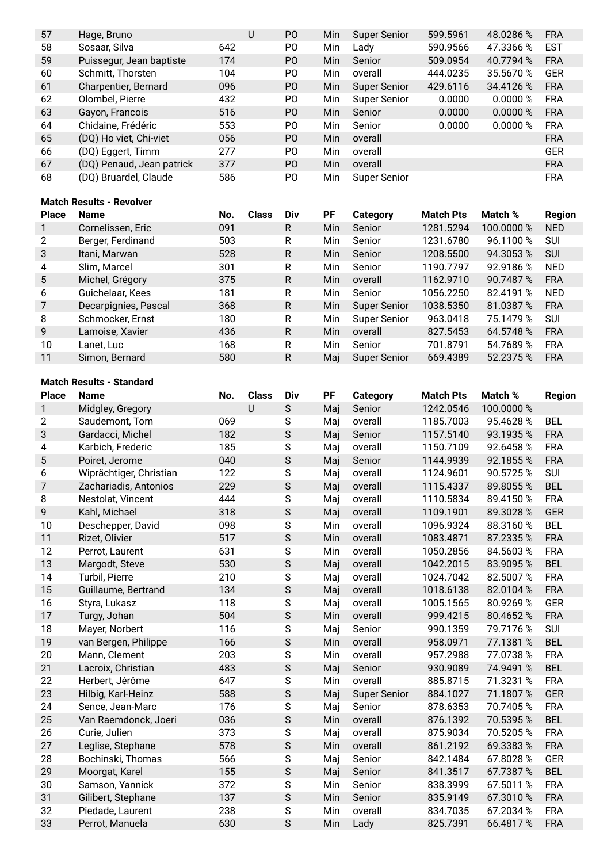| 57 | Hage, Bruno               | U   | P <sub>O</sub> | Min | Super Senior | 599.5961 | 48.0286 % | <b>FRA</b> |
|----|---------------------------|-----|----------------|-----|--------------|----------|-----------|------------|
| 58 | Sosaar, Silva             | 642 | P <sub>O</sub> | Min | Lady         | 590.9566 | 47.3366 % | <b>EST</b> |
| 59 | Puissegur, Jean baptiste  | 174 | P <sub>O</sub> | Min | Senior       | 509.0954 | 40.7794 % | <b>FRA</b> |
| 60 | Schmitt, Thorsten         | 104 | P <sub>O</sub> | Min | overall      | 444.0235 | 35.5670 % | <b>GER</b> |
| 61 | Charpentier, Bernard      | 096 | P <sub>O</sub> | Min | Super Senior | 429.6116 | 34.4126 % | <b>FRA</b> |
| 62 | Olombel, Pierre           | 432 | P <sub>O</sub> | Min | Super Senior | 0.0000   | 0.0000 %  | <b>FRA</b> |
| 63 | Gayon, Francois           | 516 | P <sub>O</sub> | Min | Senior       | 0.0000   | 0.0000 %  | <b>FRA</b> |
| 64 | Chidaine, Frédéric        | 553 | P <sub>O</sub> | Min | Senior       | 0.0000   | 0.0000 %  | <b>FRA</b> |
| 65 | (DQ) Ho viet, Chi-viet    | 056 | P <sub>O</sub> | Min | overall      |          |           | <b>FRA</b> |
| 66 | (DQ) Eggert, Timm         | 277 | P <sub>O</sub> | Min | overall      |          |           | <b>GER</b> |
| 67 | (DQ) Penaud, Jean patrick | 377 | P <sub>O</sub> | Min | overall      |          |           | <b>FRA</b> |
| 68 | (DQ) Bruardel, Claude     | 586 | P <sub>O</sub> | Min | Super Senior |          |           | <b>FRA</b> |

#### **Match Results - Revolver**

| <b>Place</b>    | <b>Name</b>          | No. | <b>Class</b> | Div | <b>PF</b> | Category            | <b>Match Pts</b> | Match %    | <b>Region</b> |
|-----------------|----------------------|-----|--------------|-----|-----------|---------------------|------------------|------------|---------------|
|                 | Cornelissen, Eric    | 091 |              | R   | Min       | Senior              | 1281.5294        | 100.0000 % | <b>NED</b>    |
| 2               | Berger, Ferdinand    | 503 |              | R   | Min       | Senior              | 1231.6780        | 96.1100 %  | <b>SUI</b>    |
| 3               | Itani, Marwan        | 528 |              | R   | Min       | Senior              | 1208.5500        | 94.3053 %  | <b>SUI</b>    |
| 4               | Slim, Marcel         | 301 |              | R   | Min       | Senior              | 1190.7797        | 92.9186 %  | <b>NED</b>    |
| $5\phantom{.0}$ | Michel, Grégory      | 375 |              | R   | Min       | overall             | 1162.9710        | 90.7487 %  | <b>FRA</b>    |
| 6               | Guichelaar, Kees     | 181 |              | R   | Min       | Senior              | 1056.2250        | 82.4191 %  | <b>NED</b>    |
|                 | Decarpignies, Pascal | 368 |              | R   | Min       | Super Senior        | 1038.5350        | 81.0387 %  | <b>FRA</b>    |
| 8               | Schmocker, Ernst     | 180 |              | R   | Min       | Super Senior        | 963.0418         | 75.1479 %  | <b>SUI</b>    |
| 9               | Lamoise, Xavier      | 436 |              | R   | Min       | overall             | 827.5453         | 64.5748 %  | <b>FRA</b>    |
| 10              | Lanet, Luc           | 168 |              | R   | Min       | Senior              | 701.8791         | 54.7689 %  | <b>FRA</b>    |
| 11              | Simon, Bernard       | 580 |              | R   | Mai       | <b>Super Senior</b> | 669.4389         | 52.2375 %  | <b>FRA</b>    |

## **Match Results - Standard**

| <b>Place</b>   | <b>Name</b>             | No. | <b>Class</b> | Div         | PF  | <b>Category</b>     | <b>Match Pts</b> | Match %    | <b>Region</b> |
|----------------|-------------------------|-----|--------------|-------------|-----|---------------------|------------------|------------|---------------|
| $\mathbf{1}$   | Midgley, Gregory        |     | $\cup$       | $\mathsf S$ | Maj | Senior              | 1242.0546        | 100.0000 % |               |
| $\overline{2}$ | Saudemont, Tom          | 069 |              | S           | Maj | overall             | 1185.7003        | 95.4628%   | <b>BEL</b>    |
| 3              | Gardacci, Michel        | 182 |              | $\mathsf S$ | Maj | Senior              | 1157.5140        | 93.1935 %  | <b>FRA</b>    |
| 4              | Karbich, Frederic       | 185 |              | S           | Maj | overall             | 1150.7109        | 92.6458 %  | <b>FRA</b>    |
| 5              | Poiret, Jerome          | 040 |              | $\mathsf S$ | Maj | Senior              | 1144.9939        | 92.1855%   | <b>FRA</b>    |
| 6              | Wiprächtiger, Christian | 122 |              | ${\sf S}$   | Maj | overall             | 1124.9601        | 90.5725%   | SUI           |
| 7              | Zachariadis, Antonios   | 229 |              | $\mathsf S$ | Maj | overall             | 1115.4337        | 89.8055%   | <b>BEL</b>    |
| 8              | Nestolat, Vincent       | 444 |              | $\mathsf S$ | Maj | overall             | 1110.5834        | 89.4150 %  | <b>FRA</b>    |
| 9              | Kahl, Michael           | 318 |              | $\mathsf S$ | Maj | overall             | 1109.1901        | 89.3028 %  | <b>GER</b>    |
| 10             | Deschepper, David       | 098 |              | ${\sf S}$   | Min | overall             | 1096.9324        | 88.3160%   | <b>BEL</b>    |
| 11             | Rizet, Olivier          | 517 |              | $\mathsf S$ | Min | overall             | 1083.4871        | 87.2335 %  | <b>FRA</b>    |
| 12             | Perrot, Laurent         | 631 |              | $\mathsf S$ | Min | overall             | 1050.2856        | 84.5603%   | <b>FRA</b>    |
| 13             | Margodt, Steve          | 530 |              | $\mathsf S$ | Maj | overall             | 1042.2015        | 83.9095%   | <b>BEL</b>    |
| 14             | Turbil, Pierre          | 210 |              | S           | Maj | overall             | 1024.7042        | 82.5007%   | <b>FRA</b>    |
| 15             | Guillaume, Bertrand     | 134 |              | $\mathsf S$ | Maj | overall             | 1018.6138        | 82.0104 %  | <b>FRA</b>    |
| 16             | Styra, Lukasz           | 118 |              | ${\sf S}$   | Maj | overall             | 1005.1565        | 80.9269%   | <b>GER</b>    |
| 17             | Turgy, Johan            | 504 |              | $\mathsf S$ | Min | overall             | 999.4215         | 80.4652 %  | <b>FRA</b>    |
| 18             | Mayer, Norbert          | 116 |              | $\mathsf S$ | Maj | Senior              | 990.1359         | 79.7176 %  | <b>SUI</b>    |
| 19             | van Bergen, Philippe    | 166 |              | $\mathsf S$ | Min | overall             | 958.0971         | 77.1381 %  | <b>BEL</b>    |
| 20             | Mann, Clement           | 203 |              | $\mathsf S$ | Min | overall             | 957.2988         | 77.0738 %  | <b>FRA</b>    |
| 21             | Lacroix, Christian      | 483 |              | $\mathsf S$ | Maj | Senior              | 930.9089         | 74.9491 %  | <b>BEL</b>    |
| 22             | Herbert, Jérôme         | 647 |              | $\mathsf S$ | Min | overall             | 885.8715         | 71.3231 %  | <b>FRA</b>    |
| 23             | Hilbig, Karl-Heinz      | 588 |              | $\mathsf S$ | Maj | <b>Super Senior</b> | 884.1027         | 71.1807 %  | <b>GER</b>    |
| 24             | Sence, Jean-Marc        | 176 |              | $\mathsf S$ | Maj | Senior              | 878.6353         | 70.7405%   | <b>FRA</b>    |
| 25             | Van Raemdonck, Joeri    | 036 |              | $\mathsf S$ | Min | overall             | 876.1392         | 70.5395 %  | <b>BEL</b>    |
| 26             | Curie, Julien           | 373 |              | $\mathsf S$ | Maj | overall             | 875.9034         | 70.5205%   | <b>FRA</b>    |
| 27             | Leglise, Stephane       | 578 |              | $\mathsf S$ | Min | overall             | 861.2192         | 69.3383 %  | <b>FRA</b>    |
| 28             | Bochinski, Thomas       | 566 |              | $\mathsf S$ | Maj | Senior              | 842.1484         | 67.8028%   | <b>GER</b>    |
| 29             | Moorgat, Karel          | 155 |              | $\mathsf S$ | Maj | Senior              | 841.3517         | 67.7387 %  | <b>BEL</b>    |
| 30             | Samson, Yannick         | 372 |              | $\mathsf S$ | Min | Senior              | 838.3999         | 67.5011 %  | <b>FRA</b>    |
| 31             | Gilibert, Stephane      | 137 |              | $\mathsf S$ | Min | Senior              | 835.9149         | 67.3010 %  | <b>FRA</b>    |
| 32             | Piedade, Laurent        | 238 |              | S           | Min | overall             | 834.7035         | 67.2034 %  | <b>FRA</b>    |
| 33             | Perrot, Manuela         | 630 |              | $\mathsf S$ | Min | Lady                | 825.7391         | 66.4817%   | <b>FRA</b>    |
|                |                         |     |              |             |     |                     |                  |            |               |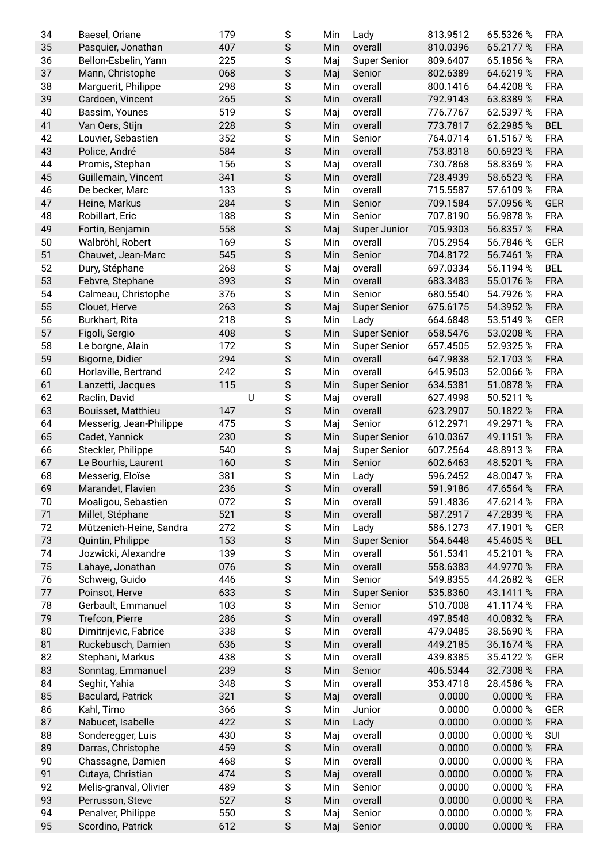| 34 | Baesel, Oriane           | 179 | S             | Min | Lady                    | 813.9512             | 65.5326 %   | <b>FRA</b> |
|----|--------------------------|-----|---------------|-----|-------------------------|----------------------|-------------|------------|
| 35 | Pasquier, Jonathan       | 407 | $\mathsf S$   | Min | overall                 | 810.0396             | 65.2177 %   | <b>FRA</b> |
| 36 | Bellon-Esbelin, Yann     | 225 | $\mathbf S$   | Maj | <b>Super Senior</b>     | 809.6407             | 65.1856 %   | <b>FRA</b> |
| 37 | Mann, Christophe         | 068 | $\mathsf S$   | Maj | Senior                  | 802.6389             | 64.6219 %   | <b>FRA</b> |
| 38 | Marguerit, Philippe      | 298 | S             | Min | overall                 | 800.1416             | 64.4208%    | <b>FRA</b> |
| 39 | Cardoen, Vincent         | 265 | $\mathsf S$   | Min | overall                 | 792.9143             | 63.8389 %   | <b>FRA</b> |
| 40 | Bassim, Younes           | 519 | S             | Maj | overall                 | 776.7767             | 62.5397 %   | <b>FRA</b> |
| 41 | Van Oers, Stijn          | 228 | $\mathsf S$   | Min | overall                 | 773.7817             | 62.2985%    | <b>BEL</b> |
| 42 | Louvier, Sebastien       | 352 | $\mathsf S$   | Min | Senior                  | 764.0714             | 61.5167%    | <b>FRA</b> |
| 43 | Police, André            | 584 | $\mathsf S$   | Min | overall                 | 753.8318             | 60.6923 %   | <b>FRA</b> |
| 44 | Promis, Stephan          | 156 | $\mathsf S$   | Maj | overall                 | 730.7868             | 58.8369 %   | <b>FRA</b> |
| 45 | Guillemain, Vincent      | 341 | $\mathsf S$   | Min | overall                 | 728.4939             | 58.6523 %   | <b>FRA</b> |
| 46 | De becker, Marc          | 133 | $\mathsf S$   | Min | overall                 | 715.5587             | 57.6109 %   | <b>FRA</b> |
| 47 | Heine, Markus            | 284 | $\mathsf S$   | Min | Senior                  | 709.1584             | 57.0956 %   | GER        |
| 48 | Robillart, Eric          | 188 | ${\sf S}$     | Min | Senior                  | 707.8190             | 56.9878 %   | <b>FRA</b> |
| 49 | Fortin, Benjamin         | 558 | $\mathsf S$   |     |                         | 705.9303             | 56.8357 %   | <b>FRA</b> |
| 50 | Walbröhl, Robert         | 169 | $\mathsf S$   | Maj | Super Junior<br>overall |                      | 56.7846 %   | <b>GER</b> |
| 51 |                          |     |               | Min |                         | 705.2954<br>704.8172 | 56.7461 %   |            |
|    | Chauvet, Jean-Marc       | 545 | $\mathsf S$   | Min | Senior                  |                      |             | <b>FRA</b> |
| 52 | Dury, Stéphane           | 268 | $\mathsf S$   | Maj | overall                 | 697.0334             | 56.1194 %   | <b>BEL</b> |
| 53 | Febvre, Stephane         | 393 | $\mathsf S$   | Min | overall                 | 683.3483             | 55.0176 %   | <b>FRA</b> |
| 54 | Calmeau, Christophe      | 376 | $\mathbf S$   | Min | Senior                  | 680.5540             | 54.7926 %   | <b>FRA</b> |
| 55 | Clouet, Herve            | 263 | $\mathsf S$   | Maj | <b>Super Senior</b>     | 675.6175             | 54.3952 %   | <b>FRA</b> |
| 56 | Burkhart, Rita           | 218 | $\mathsf S$   | Min | Lady                    | 664.6848             | 53.5149 %   | GER        |
| 57 | Figoli, Sergio           | 408 | $\mathsf S$   | Min | <b>Super Senior</b>     | 658.5476             | 53.0208 %   | <b>FRA</b> |
| 58 | Le borgne, Alain         | 172 | S             | Min | <b>Super Senior</b>     | 657.4505             | 52.9325 %   | <b>FRA</b> |
| 59 | Bigorne, Didier          | 294 | $\mathsf S$   | Min | overall                 | 647.9838             | 52.1703 %   | <b>FRA</b> |
| 60 | Horlaville, Bertrand     | 242 | $\mathsf S$   | Min | overall                 | 645.9503             | 52.0066 %   | <b>FRA</b> |
| 61 | Lanzetti, Jacques        | 115 | $\mathsf S$   | Min | <b>Super Senior</b>     | 634.5381             | 51.0878 %   | <b>FRA</b> |
| 62 | Raclin, David            | U   | ${\sf S}$     | Maj | overall                 | 627.4998             | 50.5211 %   |            |
| 63 | Bouisset, Matthieu       | 147 | $\mathsf S$   | Min | overall                 | 623.2907             | 50.1822 %   | <b>FRA</b> |
| 64 | Messerig, Jean-Philippe  | 475 | $\mathsf S$   | Maj | Senior                  | 612.2971             | 49.2971 %   | <b>FRA</b> |
| 65 | Cadet, Yannick           | 230 | $\mathsf S$   | Min | <b>Super Senior</b>     | 610.0367             | 49.1151 %   | <b>FRA</b> |
| 66 | Steckler, Philippe       | 540 | ${\sf S}$     | Maj | <b>Super Senior</b>     | 607.2564             | 48.8913%    | <b>FRA</b> |
| 67 | Le Bourhis, Laurent      | 160 | $\mathsf S$   | Min | Senior                  | 602.6463             | 48.5201 %   | <b>FRA</b> |
| 68 | Messerig, Eloïse         | 381 | $\mathbf S$   | Min | Lady                    | 596.2452             | 48.0047 %   | <b>FRA</b> |
| 69 | Marandet, Flavien        | 236 | S             |     | Min overall             | 591.9186             | 47.6564 %   | <b>FRA</b> |
| 70 | Moaligou, Sebastien      | 072 | $\mathsf S$   | Min | overall                 | 591.4836             | 47.6214 %   | <b>FRA</b> |
| 71 | Millet, Stéphane         | 521 | $\mathsf S$   | Min | overall                 | 587.2917             | 47.2839 %   | <b>FRA</b> |
| 72 | Mützenich-Heine, Sandra  | 272 | ${\sf S}$     | Min | Lady                    | 586.1273             | 47.1901 %   | GER        |
| 73 | Quintin, Philippe        | 153 | $\mathsf S$   | Min | <b>Super Senior</b>     | 564.6448             | 45.4605%    | <b>BEL</b> |
| 74 | Jozwicki, Alexandre      | 139 | ${\sf S}$     | Min | overall                 | 561.5341             | 45.2101 %   | <b>FRA</b> |
| 75 | Lahaye, Jonathan         | 076 | $\mathsf S$   | Min | overall                 | 558.6383             | 44.9770 %   | <b>FRA</b> |
| 76 | Schweig, Guido           | 446 | ${\sf S}$     | Min | Senior                  | 549.8355             | 44.2682 %   | GER        |
| 77 | Poinsot, Herve           | 633 | $\mathsf S$   | Min | <b>Super Senior</b>     | 535.8360             | 43.1411 %   | <b>FRA</b> |
| 78 | Gerbault, Emmanuel       | 103 | ${\sf S}$     | Min | Senior                  | 510.7008             | 41.1174 %   | <b>FRA</b> |
| 79 | Trefcon, Pierre          | 286 | $\mathsf S$   | Min | overall                 | 497.8548             | 40.0832 %   | <b>FRA</b> |
| 80 | Dimitrijevic, Fabrice    | 338 | ${\sf S}$     | Min | overall                 | 479.0485             | 38.5690 %   | <b>FRA</b> |
| 81 | Ruckebusch, Damien       | 636 | $\mathsf S$   | Min | overall                 | 449.2185             | 36.1674 %   | <b>FRA</b> |
| 82 |                          | 438 | $\mathsf S$   | Min | overall                 |                      |             | GER        |
|    | Stephani, Markus         |     |               |     |                         | 439.8385             | 35.4122 %   |            |
| 83 | Sonntag, Emmanuel        | 239 | $\mathsf S$   | Min | Senior                  | 406.5344             | 32.7308 %   | <b>FRA</b> |
| 84 | Seghir, Yahia            | 348 | ${\mathsf S}$ | Min | overall                 | 353.4718             | 28.4586 %   | <b>FRA</b> |
| 85 | <b>Baculard, Patrick</b> | 321 | $\mathsf S$   | Maj | overall                 | 0.0000               | 0.0000 %    | <b>FRA</b> |
| 86 | Kahl, Timo               | 366 | ${\mathsf S}$ | Min | Junior                  | 0.0000               | 0.0000 %    | GER        |
| 87 | Nabucet, Isabelle        | 422 | $\mathsf S$   | Min | Lady                    | 0.0000               | 0.0000%     | <b>FRA</b> |
| 88 | Sonderegger, Luis        | 430 | $\mathsf S$   | Maj | overall                 | 0.0000               | 0.0000%     | SUI        |
| 89 | Darras, Christophe       | 459 | $\mathsf S$   | Min | overall                 | 0.0000               | 0.0000%     | <b>FRA</b> |
| 90 | Chassagne, Damien        | 468 | ${\mathsf S}$ | Min | overall                 | 0.0000               | $0.0000~\%$ | <b>FRA</b> |
| 91 | Cutaya, Christian        | 474 | $\mathsf S$   | Maj | overall                 | 0.0000               | 0.0000 %    | <b>FRA</b> |
| 92 | Melis-granval, Olivier   | 489 | ${\mathsf S}$ | Min | Senior                  | 0.0000               | 0.0000%     | <b>FRA</b> |
| 93 | Perrusson, Steve         | 527 | $\mathsf S$   | Min | overall                 | 0.0000               | 0.0000%     | <b>FRA</b> |
| 94 | Penalver, Philippe       | 550 | ${\mathsf S}$ | Maj | Senior                  | 0.0000               | 0.0000%     | <b>FRA</b> |
| 95 | Scordino, Patrick        | 612 | $\mathsf S$   | Maj | Senior                  | 0.0000               | 0.0000%     | <b>FRA</b> |